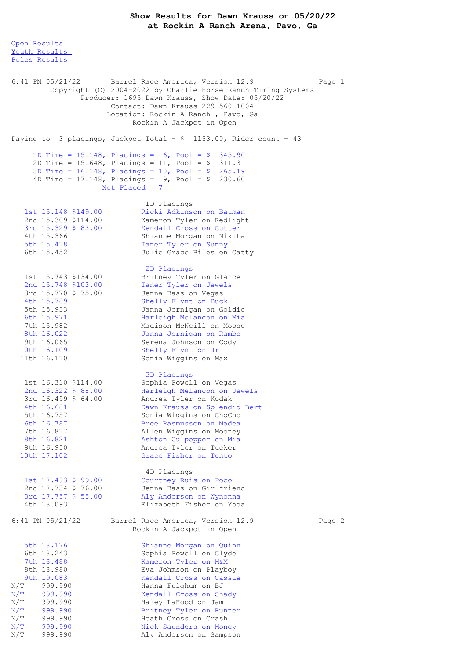## **Show Results for Dawn Krauss on 05/20/22 at Rockin A Ranch Arena, Pavo, Ga**

Open [Results](file:///C:/Users/flori/Downloads/Show_Results_Dawn_Krauss_05_20_22.html#Open) Youth [Results](file:///C:/Users/flori/Downloads/Show_Results_Dawn_Krauss_05_20_22.html#Youth) Poles [Results](file:///C:/Users/flori/Downloads/Show_Results_Dawn_Krauss_05_20_22.html#Poles) 6:41 PM 05/21/22 Barrel Race America, Version 12.9 Page 1 Copyright (C) 2004-2022 by Charlie Horse Ranch Timing Systems Producer: 1695 Dawn Krauss, Show Date: 05/20/22 Contact: Dawn Krauss 229-560-1004 Location: Rockin A Ranch , Pavo, Ga Rockin A Jackpot in Open Paying to 3 placings, Jackpot Total =  $$ 1153.00$ , Rider count = 43 1D Time = 15.148, Placings = 6, Pool = \$ 345.90 2D Time = 15.648, Placings = 11, Pool = \$ 311.31 3D Time = 16.148, Placings = 10, Pool = \$ 265.19 4D Time = 17.148, Placings = 9, Pool = \$ 230.60 Not Placed  $= 7$ 1D Placings 1st 15.148 \$149.00 Ricki Adkinson on Batman 2nd 15.309 \$114.00 Kameron Tyler on Redlight 3rd 15.329 \$ 83.00 Kendall Cross on Cutter 4th 15.366 Shianne Morgan on Nikita 5th 15.418 Taner Tyler on Sunny 6th 15.452 Julie Grace Biles on Catty 2D Placings 1st 15.743 \$134.00 Britney Tyler on Glance 2nd 15.748 \$103.00 Taner Tyler on Jewels 3rd 15.770 \$ 75.00 Jenna Bass on Vegas 4th 15.789 Shelly Flynt on Buck 5th 15.933 Janna Jernigan on Goldie 6th 15.971 Harleigh Melancon on Mia 7th 15.982 Madison McNeill on Moose 8th 16.022 Janna Jernigan on Rambo 9th 16.065 Serena Johnson on Cody 10th 16.109 Shelly Flynt on Jr 11th 16.110 Sonia Wiggins on Max 3D Placings 1st 16.310 \$114.00 Sophia Powell on Vegas 2nd 16.322 \$ 88.00 Harleigh Melancon on Jewels 3rd 16.499 \$ 64.00 Andrea Tyler on Kodak 4th 16.681 Dawn Krauss on Splendid Bert 5th 16.757 Sonia Wiggins on ChoCho 6th 16.787 Bree Rasmussen on Madea 7th 16.817 Allen Wiggins on Mooney 8th 16.821 Ashton Culpepper on Mia 9th 16.950 Andrea Tyler on Tucker 10th 17.102 Grace Fisher on Tonto 4D Placings 1st 17.493 \$ 99.00 Courtney Ruis on Poco<br>
2nd 17.734 \$ 76.00 Jenna Bass on Girlfrie<br>
3rd 17.757 \$ 55.00 Aly Anderson on Wynoni 2nd 17.734 \$ 76.00 Jenna Bass on Girlfriend 3rd 17.757 \$ 55.00 Aly Anderson on Wynonna 4th 18.093 Elizabeth Fisher on Yoda 6:41 PM 05/21/22 Barrel Race America, Version 12.9 Page 2 Rockin A Jackpot in Open 5th 18.176 Shianne Morgan on Quinn<br>6th 18.243 Sophia Powell on Clyde 6th 18.243 Sophia Powell on Clyde 7th 18.488 Kameron Tyler on M&M 8th 18.980 Eva Johmson on Playboy 9th 19.083 Kendall Cross on Cassie N/T 999.990 Hanna Fulghum on BJ N/T 999.990 Kendall Cross on Shady N/T 999.990 Haley LaHood on Jam N/T 999.990 Britney Tyler on Runner N/T 999.990 Heath Cross on Crash N/T 999.990 Nick Saunders on Money N/T 999.990 Aly Anderson on Sampson